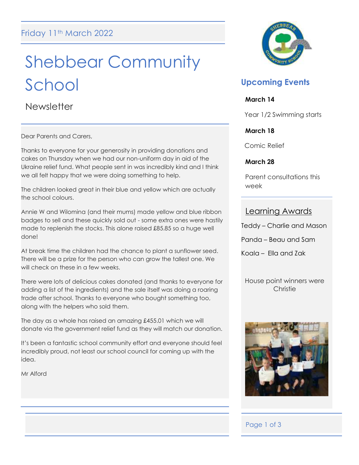# Shebbear Community School

**Newsletter** 

Dear Parents and Carers,

Thanks to everyone for your generosity in providing donations and cakes on Thursday when we had our non-uniform day in aid of the Ukraine relief fund. What people sent in was incredibly kind and I think we all felt happy that we were doing something to help.

The children looked great in their blue and yellow which are actually the school colours.

Annie W and Wilomina (and their mums) made yellow and blue ribbon badges to sell and these quickly sold out - some extra ones were hastily made to replenish the stocks. This alone raised £85.85 so a huge well done!

At break time the children had the chance to plant a sunflower seed. There will be a prize for the person who can grow the tallest one. We will check on these in a few weeks.

There were lots of delicious cakes donated (and thanks to everyone for adding a list of the ingredients) and the sale itself was doing a roaring trade after school. Thanks to everyone who bought something too, along with the helpers who sold them.

The day as a whole has raised an amazing £455.01 which we will donate via the government relief fund as they will match our donation.

It's been a fantastic school community effort and everyone should feel incredibly proud, not least our school council for coming up with the idea.

Mr Alford



# **Upcoming Events**

### **March 14**

Year 1/2 Swimming starts

### **March 18**

Comic Relief

### **March 28**

Parent consultations this week

### Learning Awards

Teddy – Charlie and Mason

Panda – Beau and Sam

Koala – Ella and Zak

House point winners were **Christie** 



Ī

### Page 1 of 3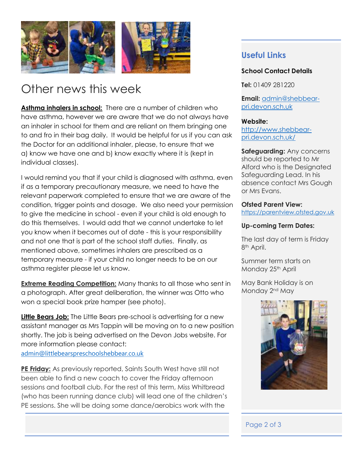

# Other news this week

Asthma inhalers in school: There are a number of children who have asthma, however we are aware that we do not always have an inhaler in school for them and are reliant on them bringing one to and fro in their bag daily. It would be helpful for us if you can ask the Doctor for an additional inhaler, please, to ensure that we a) know we have one and b) know exactly where it is (kept in individual classes).

I would remind you that if your child is diagnosed with asthma, even if as a temporary precautionary measure, we need to have the relevant paperwork completed to ensure that we are aware of the condition, trigger points and dosage. We also need your permission to give the medicine in school - even if your child is old enough to do this themselves. I would add that we cannot undertake to let you know when it becomes out of date - this is your responsibility and not one that is part of the school staff duties. Finally, as mentioned above, sometimes inhalers are prescribed as a temporary measure - if your child no longer needs to be on our asthma register please let us know.

**Extreme Reading Competition:** Many thanks to all those who sent in a photograph. After great deliberation, the winner was Otto who won a special book prize hamper (see photo).

**Little Bears Job:** The Little Bears pre-school is advertising for a new assistant manager as Mrs Tappin will be moving on to a new position shortly. The job is being advertised on the Devon Jobs website. For more information please contact: [admin@littlebearspreschoolshebbear.co.uk](mailto:admin@littlebearspreschoolshebbear.co.uk)

**PE Friday:** As previously reported, Saints South West have still not been able to find a new coach to cover the Friday afternoon sessions and football club. For the rest of this term, Miss Whitbread (who has been running dance club) will lead one of the children's PE sessions. She will be doing some dance/aerobics work with the

## **Useful Links**

### **School Contact Details**

**Tel:** 01409 281220

**Email:** [admin@shebbear](mailto:admin@shebbear-pri.devon.sch.uk)[pri.devon.sch.uk](mailto:admin@shebbear-pri.devon.sch.uk)

### **Website:**

[http://www.shebbear](http://www.shebbear-pri.devon.sch.uk/)[pri.devon.sch.uk/](http://www.shebbear-pri.devon.sch.uk/)

**Safeguarding:** Any concerns should be reported to Mr Alford who is the Designated Safeguarding Lead. In his absence contact Mrs Gough or Mrs Evans.

#### **Ofsted Parent View:**

[https://parentview.ofsted.gov.uk](https://parentview.ofsted.gov.uk/)

### **Up-coming Term Dates:**

The last day of term is Friday 8th April.

Summer term starts on Monday 25<sup>th</sup> April

May Bank Holiday is on Monday 2<sup>nd</sup> May



### Page 2 of 3

j